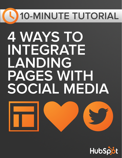# **10-MINUTE TUTORIAL**

# **4 WAYS TO INTEGRATE LANDING PAGES WITH SOCIAL MEDIA**



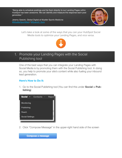"Being able to schedule postings and tie them directly to our Landing Pages within HubSpot has been awesome. We can identify and measure the response each post generates."

Jeremy Gesicki, Global Digital at Mueller Sports Medicine [@MuellerSportMed](https://twitter.com/muellersportmed) / [@Quench\\_Gum](https://twitter.com/Quench_Gum)



Let's take a look at some of the ways that you can your HubSpot Social Media tools to optimize your Landing Pages, and vice versa.



## 1. Promote your Landing Pages with the Social Publishing tool

One of the best ways that you can integrate your Landing Pages with Social Media is by promoting them with the Social Publishing tool. In doing so, you help to promote your site's content while also fueling your inbound lead generation.

#### **Here's How to Do It:**

1. Go to the Social Publishing tool (You can find this under **Social > Publishing**)



2. Click "Compose Message" in the upper-right hand side of the screen

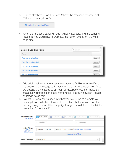3. Click to attach your Landing Page (Above the message window, click "Attach a Landing Page")



4. When the "Select a Landing Page" window appears, find the Landing Page that you would like to promote, then click "Select" on the righthand side.

| <b>Select a Landing Page</b> | Q Search |  |
|------------------------------|----------|--|
| Name                         | ┻        |  |
| Your stunning headline!      | Select   |  |
| Your Stunning Headline!      | Select   |  |
| Your stunning headline!      | Select   |  |
| Your stunning headline!      | Select   |  |
| Your stunning headline!      | Select   |  |

- 5. Add additional text to the message as you see fit. **Remember:** if you are posting the message to Twitter, there is a 140-character limit. If you are posting the message to LinkedIn or Facebook, you can include an image as well to make the post more visually appealing (Select 'Attach an Image' to do this)
- 6. Select the Social Media accounts that you would like to promote your Landing Page on behalf of, as well as the time that you would like the message to go out and the campaign that you would like to attach it to, then click "Schedule All."

| <b>Select Accounts</b><br>Add account                     | $\left  \right $ Pages 0/3<br>Profiles 0/25<br>$f$ Profiles 0/1<br>in Profiles 0/13<br>Ø<br>in Groups 0/145 |  |  |
|-----------------------------------------------------------|-------------------------------------------------------------------------------------------------------------|--|--|
|                                                           | 16<br>$\rightarrow$                                                                                         |  |  |
| <b>Select Times</b><br><b>US/Eastern</b><br>Edit schedule | (in 11 minutes) Suggest Times Right Now<br>Sunday Jul 28, 2013<br>5:23 pm                                   |  |  |
|                                                           | <b>Add Additional Time</b>                                                                                  |  |  |
| <b>Select Campaign</b>                                    | No campaign<br>$\overline{\phantom{a}}$                                                                     |  |  |
|                                                           |                                                                                                             |  |  |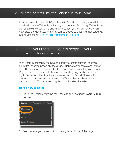## 2. Collect Contacts' Twitter Handles in Your Forms

In order to monitor your HubSpot lists with Social Monitoring, you will first need to know the Twitter Handles of your contacts. By adding 'Twitter Handle' as a field to your forms and landing pages, you will guarantee when new leads are generated that they can be added to a list and monitored via Social Monitoring. [Click to edit your forms in HubSpot](https://app.hubspot.com/l/forms).

### 3. Promote your Landing Pages to people in your Social Monitoring streams

With Social Monitoring, you have the ability to create custom, segmented Twitter streams based on keywords, HubSpot contact lists and Twitter lists. These streams serve as effective channels for promoting your Landing Pages. Find opportunities to link to your Landing Pages when responding to Twitter activities that have shown up in your Social Streams. For instance, if someone asks a question on Twitter that an ebook answers, respond to their Tweet by sending them the Landing Page link.

#### **Here's How to Do It:**

1. Go to the Social Monitoring tool (You can find this under **Social > Monitoring**)



2. Select one of your streams from the right-hand side of the page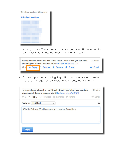

3. When you see a Tweet in your stream that you would like to respond to, scroll over it then select the "Reply" link when it appears



4. Copy and paste your Landing Page URL into the message, as well as the reply message that you would like to include, then hit "Reply"